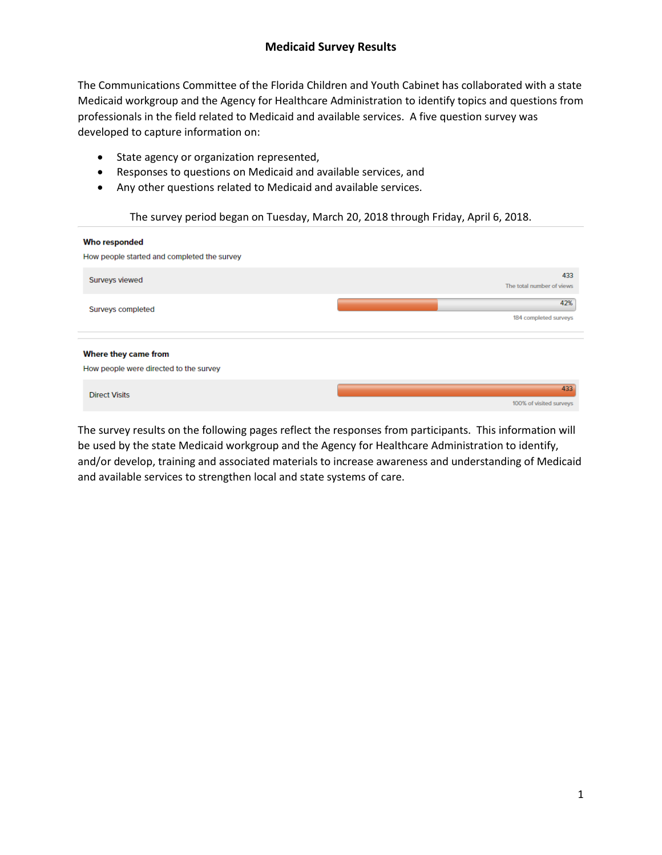The Communications Committee of the Florida Children and Youth Cabinet has collaborated with a state Medicaid workgroup and the Agency for Healthcare Administration to identify topics and questions from professionals in the field related to Medicaid and available services. A five question survey was developed to capture information on:

- State agency or organization represented,
- Responses to questions on Medicaid and available services, and
- Any other questions related to Medicaid and available services.

### The survey period began on Tuesday, March 20, 2018 through Friday, April 6, 2018.

| <b>Who responded</b><br>How people started and completed the survey |                                  |
|---------------------------------------------------------------------|----------------------------------|
| Surveys viewed                                                      | 433<br>The total number of views |
| Surveys completed                                                   | 42%<br>184 completed surveys     |
| Where they came from<br>How people were directed to the survey      |                                  |
| <b>Direct Visits</b>                                                | 433<br>100% of visited surveys   |

The survey results on the following pages reflect the responses from participants. This information will be used by the state Medicaid workgroup and the Agency for Healthcare Administration to identify, and/or develop, training and associated materials to increase awareness and understanding of Medicaid and available services to strengthen local and state systems of care.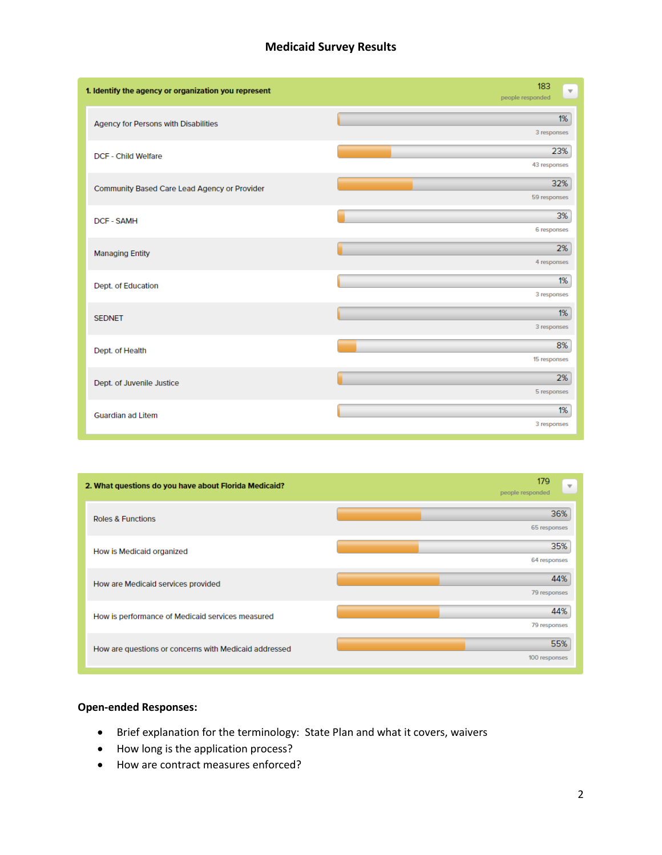### **Medicaid Survey Results**

| 1. Identify the agency or organization you represent | 183<br>$\overline{\mathbf{v}}$<br>people responded |
|------------------------------------------------------|----------------------------------------------------|
| Agency for Persons with Disabilities                 | 1%<br>3 responses                                  |
| <b>DCF - Child Welfare</b>                           | 23%<br>43 responses                                |
| Community Based Care Lead Agency or Provider         | 32%<br>59 responses                                |
| <b>DCF - SAMH</b>                                    | 3%<br>6 responses                                  |
| <b>Managing Entity</b>                               | 2%<br>4 responses                                  |
| Dept. of Education                                   | 1%<br>3 responses                                  |
| <b>SEDNET</b>                                        | 1%<br>3 responses                                  |
| Dept. of Health                                      | 8%<br>15 responses                                 |
| Dept. of Juvenile Justice                            | 2%<br>5 responses                                  |
| <b>Guardian ad Litem</b>                             | 1%<br>3 responses                                  |



#### **Open-ended Responses:**

- Brief explanation for the terminology: State Plan and what it covers, waivers
- How long is the application process?
- How are contract measures enforced?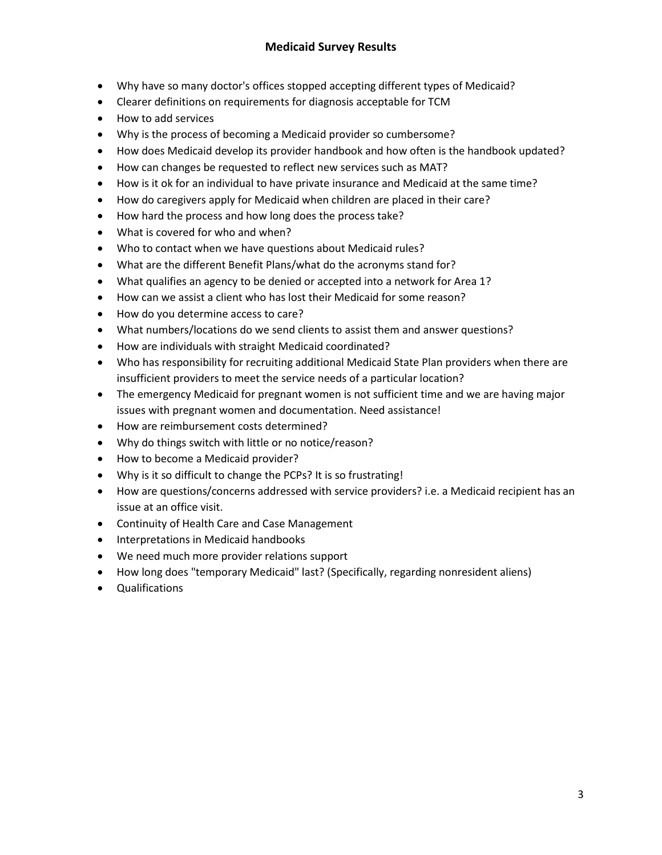- Why have so many doctor's offices stopped accepting different types of Medicaid?
- Clearer definitions on requirements for diagnosis acceptable for TCM
- How to add services
- Why is the process of becoming a Medicaid provider so cumbersome?
- How does Medicaid develop its provider handbook and how often is the handbook updated?
- How can changes be requested to reflect new services such as MAT?
- How is it ok for an individual to have private insurance and Medicaid at the same time?
- How do caregivers apply for Medicaid when children are placed in their care?
- How hard the process and how long does the process take?
- What is covered for who and when?
- Who to contact when we have questions about Medicaid rules?
- What are the different Benefit Plans/what do the acronyms stand for?
- What qualifies an agency to be denied or accepted into a network for Area 1?
- How can we assist a client who has lost their Medicaid for some reason?
- How do you determine access to care?
- What numbers/locations do we send clients to assist them and answer questions?
- How are individuals with straight Medicaid coordinated?
- Who has responsibility for recruiting additional Medicaid State Plan providers when there are insufficient providers to meet the service needs of a particular location?
- The emergency Medicaid for pregnant women is not sufficient time and we are having major issues with pregnant women and documentation. Need assistance!
- How are reimbursement costs determined?
- Why do things switch with little or no notice/reason?
- How to become a Medicaid provider?
- Why is it so difficult to change the PCPs? It is so frustrating!
- How are questions/concerns addressed with service providers? i.e. a Medicaid recipient has an issue at an office visit.
- Continuity of Health Care and Case Management
- Interpretations in Medicaid handbooks
- We need much more provider relations support
- How long does "temporary Medicaid" last? (Specifically, regarding nonresident aliens)
- Qualifications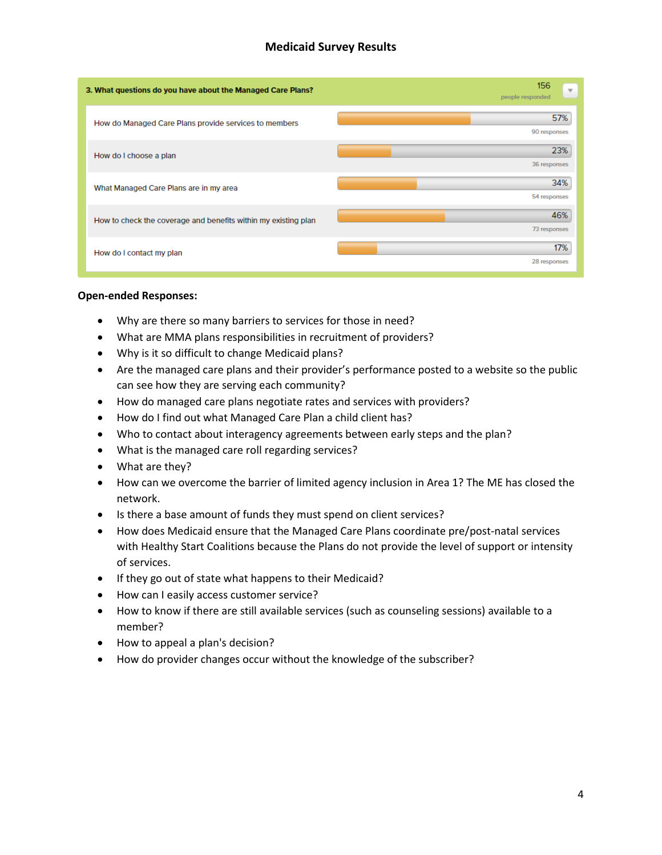## **Medicaid Survey Results**

| 3. What questions do you have about the Managed Care Plans?    | 156<br>$\overline{\mathbf{v}}$<br>people responded |
|----------------------------------------------------------------|----------------------------------------------------|
| How do Managed Care Plans provide services to members          | 57%<br>90 responses                                |
| How do I choose a plan                                         | 23%<br>36 responses                                |
| What Managed Care Plans are in my area                         | 34%<br>54 responses                                |
| How to check the coverage and benefits within my existing plan | 46%<br>73 responses                                |
| How do I contact my plan                                       | 17%<br>28 responses                                |

#### **Open-ended Responses:**

- Why are there so many barriers to services for those in need?
- What are MMA plans responsibilities in recruitment of providers?
- Why is it so difficult to change Medicaid plans?
- Are the managed care plans and their provider's performance posted to a website so the public can see how they are serving each community?
- How do managed care plans negotiate rates and services with providers?
- How do I find out what Managed Care Plan a child client has?
- Who to contact about interagency agreements between early steps and the plan?
- What is the managed care roll regarding services?
- What are they?
- How can we overcome the barrier of limited agency inclusion in Area 1? The ME has closed the network.
- Is there a base amount of funds they must spend on client services?
- How does Medicaid ensure that the Managed Care Plans coordinate pre/post-natal services with Healthy Start Coalitions because the Plans do not provide the level of support or intensity of services.
- If they go out of state what happens to their Medicaid?
- How can I easily access customer service?
- How to know if there are still available services (such as counseling sessions) available to a member?
- How to appeal a plan's decision?
- How do provider changes occur without the knowledge of the subscriber?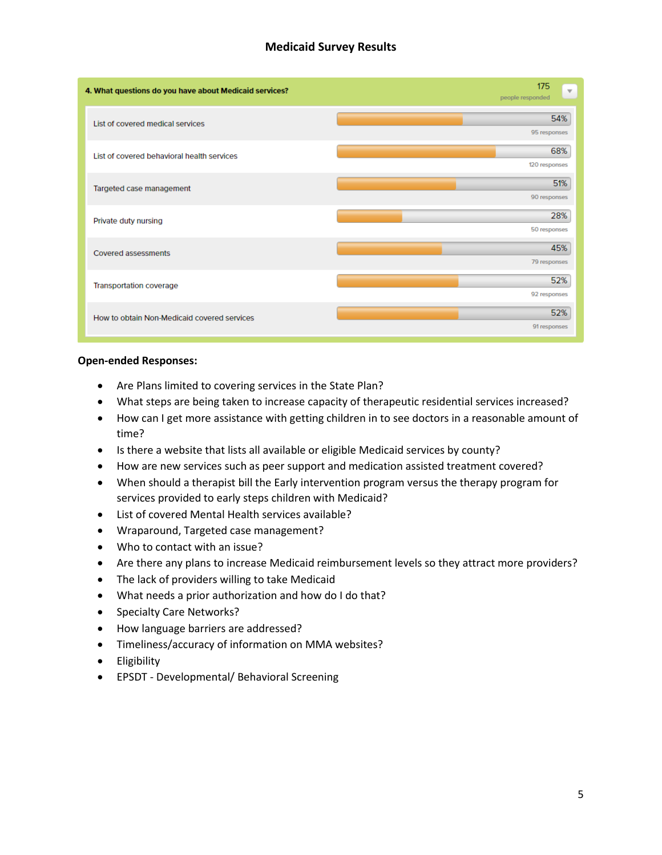# **Medicaid Survey Results**

| 4. What questions do you have about Medicaid services? | 175<br>$\overline{\mathbf{v}}$<br>people responded |
|--------------------------------------------------------|----------------------------------------------------|
| List of covered medical services                       | 54%<br>95 responses                                |
| List of covered behavioral health services             | 68%<br>120 responses                               |
| Targeted case management                               | 51%<br>90 responses                                |
| Private duty nursing                                   | 28%<br>50 responses                                |
| Covered assessments                                    | 45%<br>79 responses                                |
| Transportation coverage                                | 52%<br>92 responses                                |
| How to obtain Non-Medicaid covered services            | 52%<br>91 responses                                |

#### **Open-ended Responses:**

- Are Plans limited to covering services in the State Plan?
- What steps are being taken to increase capacity of therapeutic residential services increased?
- How can I get more assistance with getting children in to see doctors in a reasonable amount of time?
- Is there a website that lists all available or eligible Medicaid services by county?
- How are new services such as peer support and medication assisted treatment covered?
- When should a therapist bill the Early intervention program versus the therapy program for services provided to early steps children with Medicaid?
- List of covered Mental Health services available?
- Wraparound, Targeted case management?
- Who to contact with an issue?
- Are there any plans to increase Medicaid reimbursement levels so they attract more providers?
- The lack of providers willing to take Medicaid
- What needs a prior authorization and how do I do that?
- Specialty Care Networks?
- How language barriers are addressed?
- Timeliness/accuracy of information on MMA websites?
- Eligibility
- EPSDT Developmental/ Behavioral Screening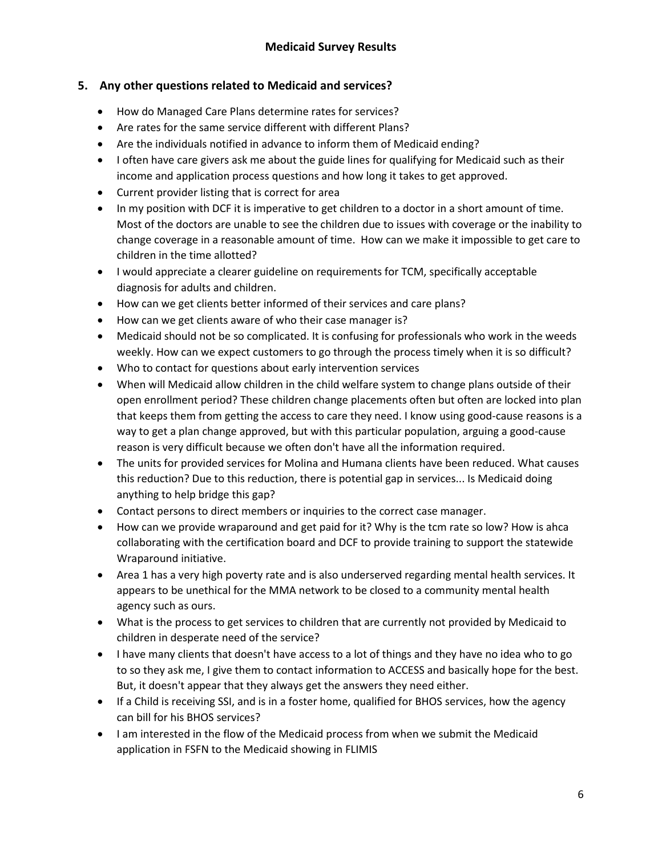# **5. Any other questions related to Medicaid and services?**

- How do Managed Care Plans determine rates for services?
- Are rates for the same service different with different Plans?
- Are the individuals notified in advance to inform them of Medicaid ending?
- I often have care givers ask me about the guide lines for qualifying for Medicaid such as their income and application process questions and how long it takes to get approved.
- Current provider listing that is correct for area
- In my position with DCF it is imperative to get children to a doctor in a short amount of time. Most of the doctors are unable to see the children due to issues with coverage or the inability to change coverage in a reasonable amount of time. How can we make it impossible to get care to children in the time allotted?
- I would appreciate a clearer guideline on requirements for TCM, specifically acceptable diagnosis for adults and children.
- How can we get clients better informed of their services and care plans?
- How can we get clients aware of who their case manager is?
- Medicaid should not be so complicated. It is confusing for professionals who work in the weeds weekly. How can we expect customers to go through the process timely when it is so difficult?
- Who to contact for questions about early intervention services
- When will Medicaid allow children in the child welfare system to change plans outside of their open enrollment period? These children change placements often but often are locked into plan that keeps them from getting the access to care they need. I know using good-cause reasons is a way to get a plan change approved, but with this particular population, arguing a good-cause reason is very difficult because we often don't have all the information required.
- The units for provided services for Molina and Humana clients have been reduced. What causes this reduction? Due to this reduction, there is potential gap in services... Is Medicaid doing anything to help bridge this gap?
- Contact persons to direct members or inquiries to the correct case manager.
- How can we provide wraparound and get paid for it? Why is the tcm rate so low? How is ahca collaborating with the certification board and DCF to provide training to support the statewide Wraparound initiative.
- Area 1 has a very high poverty rate and is also underserved regarding mental health services. It appears to be unethical for the MMA network to be closed to a community mental health agency such as ours.
- What is the process to get services to children that are currently not provided by Medicaid to children in desperate need of the service?
- I have many clients that doesn't have access to a lot of things and they have no idea who to go to so they ask me, I give them to contact information to ACCESS and basically hope for the best. But, it doesn't appear that they always get the answers they need either.
- If a Child is receiving SSI, and is in a foster home, qualified for BHOS services, how the agency can bill for his BHOS services?
- I am interested in the flow of the Medicaid process from when we submit the Medicaid application in FSFN to the Medicaid showing in FLIMIS